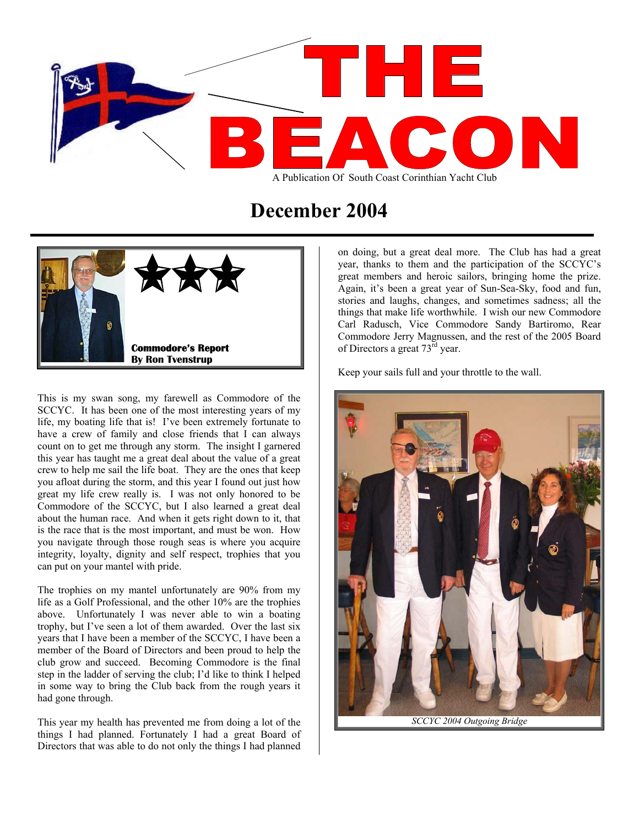

# **December 2004**



This is my swan song, my farewell as Commodore of the SCCYC. It has been one of the most interesting years of my life, my boating life that is! I've been extremely fortunate to have a crew of family and close friends that I can always count on to get me through any storm. The insight I garnered this year has taught me a great deal about the value of a great crew to help me sail the life boat. They are the ones that keep you afloat during the storm, and this year I found out just how great my life crew really is. I was not only honored to be Commodore of the SCCYC, but I also learned a great deal about the human race. And when it gets right down to it, that is the race that is the most important, and must be won. How you navigate through those rough seas is where you acquire integrity, loyalty, dignity and self respect, trophies that you can put on your mantel with pride.

The trophies on my mantel unfortunately are 90% from my life as a Golf Professional, and the other 10% are the trophies above. Unfortunately I was never able to win a boating trophy, but I've seen a lot of them awarded. Over the last six years that I have been a member of the SCCYC, I have been a member of the Board of Directors and been proud to help the club grow and succeed. Becoming Commodore is the final step in the ladder of serving the club; I'd like to think I helped in some way to bring the Club back from the rough years it had gone through.

This year my health has prevented me from doing a lot of the things I had planned. Fortunately I had a great Board of Directors that was able to do not only the things I had planned

on doing, but a great deal more. The Club has had a great year, thanks to them and the participation of the SCCYC's great members and heroic sailors, bringing home the prize. Again, it's been a great year of Sun-Sea-Sky, food and fun, stories and laughs, changes, and sometimes sadness; all the things that make life worthwhile. I wish our new Commodore Carl Radusch, Vice Commodore Sandy Bartiromo, Rear Commodore Jerry Magnussen, and the rest of the 2005 Board of Directors a great 73<sup>rd</sup> year.

Keep your sails full and your throttle to the wall.

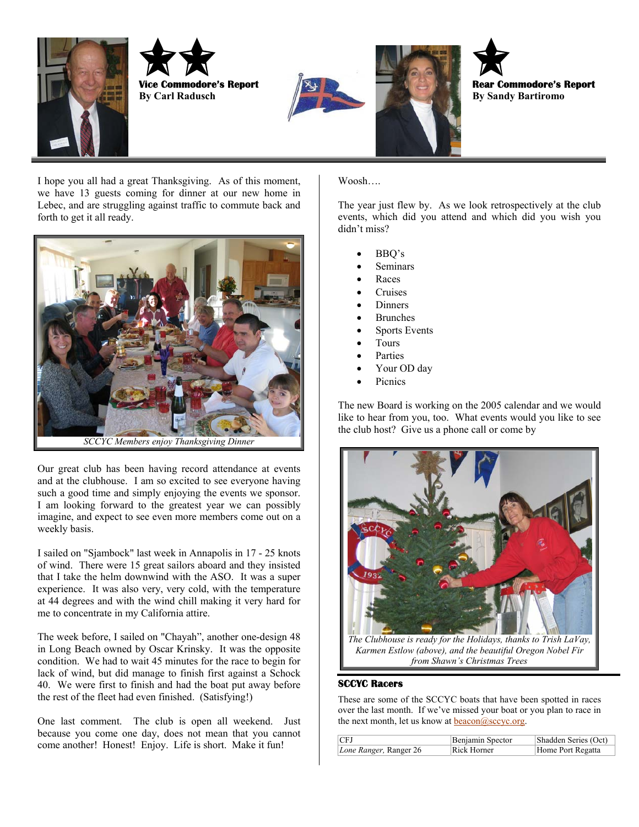









I hope you all had a great Thanksgiving. As of this moment, Woosh…. we have 13 guests coming for dinner at our new home in Lebec, and are struggling against traffic to commute back and forth to get it all ready.



Our great club has been having record attendance at events and at the clubhouse. I am so excited to see everyone having such a good time and simply enjoying the events we sponsor. I am looking forward to the greatest year we can possibly imagine, and expect to see even more members come out on a weekly basis.

I sailed on "Sjambock" last week in Annapolis in 17 - 25 knots of wind. There were 15 great sailors aboard and they insisted that I take the helm downwind with the ASO. It was a super experience. It was also very, very cold, with the temperature at 44 degrees and with the wind chill making it very hard for me to concentrate in my California attire.

The week before, I sailed on "Chayah", another one-design 48 in Long Beach owned by Oscar Krinsky. It was the opposite condition. We had to wait 45 minutes for the race to begin for lack of wind, but did manage to finish first against a Schock 40. We were first to finish and had the boat put away before the rest of the fleet had even finished. (Satisfying!)

One last comment. The club is open all weekend. Just because you come one day, does not mean that you cannot come another! Honest! Enjoy. Life is short. Make it fun!

The year just flew by. As we look retrospectively at the club events, which did you attend and which did you wish you didn't miss?

- BBQ's
- **Seminars**
- Races
- Cruises
- **Dinners**
- **Brunches**
- Sports Events
- Tours
- **Parties**
- Your OD day
- **Picnics**

The new Board is working on the 2005 calendar and we would like to hear from you, too. What events would you like to see the club host? Give us a phone call or come by



*Karmen Estlow (above), and the beautiful Oregon Nobel Fir from Shawn's Christmas Trees* 

## **SCCYC Racers**

These are some of the SCCYC boats that have been spotted in races over the last month. If we've missed your boat or you plan to race in the next month, let us know at **beacon@sccyc.org**.

| CFJ                    | Benjamin Spector | Shadden Series (Oct) |
|------------------------|------------------|----------------------|
| Lone Ranger, Ranger 26 | Rick Horner      | Home Port Regatta    |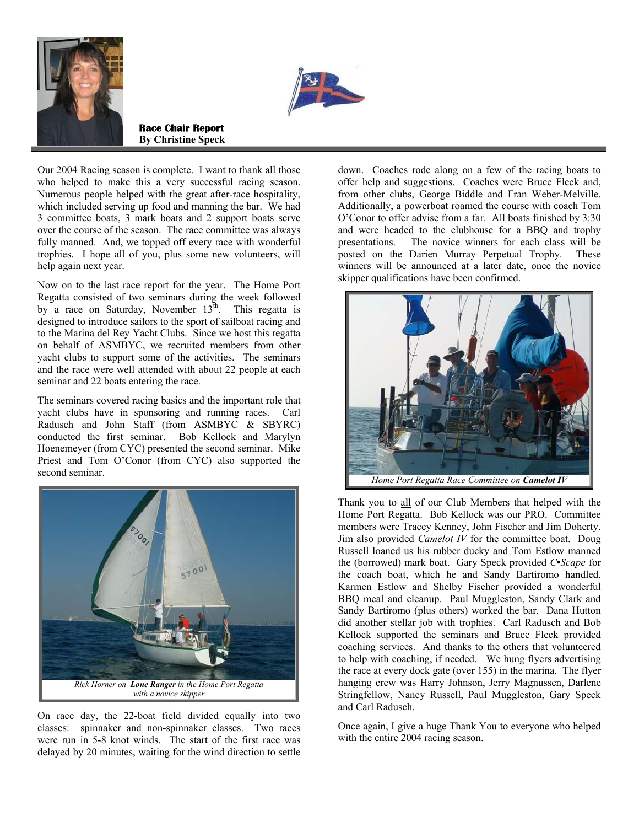



**Race Chair Report By Christine Speck**

Our 2004 Racing season is complete. I want to thank all those who helped to make this a very successful racing season. Numerous people helped with the great after-race hospitality, which included serving up food and manning the bar. We had 3 committee boats, 3 mark boats and 2 support boats serve over the course of the season. The race committee was always fully manned. And, we topped off every race with wonderful trophies. I hope all of you, plus some new volunteers, will help again next year.

Now on to the last race report for the year. The Home Port Regatta consisted of two seminars during the week followed by a race on Saturday, November 13<sup>th</sup>. This regatta is designed to introduce sailors to the sport of sailboat racing and to the Marina del Rey Yacht Clubs. Since we host this regatta on behalf of ASMBYC, we recruited members from other yacht clubs to support some of the activities. The seminars and the race were well attended with about 22 people at each seminar and 22 boats entering the race.

The seminars covered racing basics and the important role that yacht clubs have in sponsoring and running races. Carl Radusch and John Staff (from ASMBYC & SBYRC) conducted the first seminar. Bob Kellock and Marylyn Hoenemeyer (from CYC) presented the second seminar. Mike Priest and Tom O'Conor (from CYC) also supported the second seminar.



On race day, the 22-boat field divided equally into two classes: spinnaker and non-spinnaker classes. Two races were run in 5-8 knot winds. The start of the first race was delayed by 20 minutes, waiting for the wind direction to settle

down. Coaches rode along on a few of the racing boats to offer help and suggestions. Coaches were Bruce Fleck and, from other clubs, George Biddle and Fran Weber-Melville. Additionally, a powerboat roamed the course with coach Tom O'Conor to offer advise from a far. All boats finished by 3:30 and were headed to the clubhouse for a BBQ and trophy presentations. The novice winners for each class will be posted on the Darien Murray Perpetual Trophy. These winners will be announced at a later date, once the novice skipper qualifications have been confirmed.



Thank you to all of our Club Members that helped with the Home Port Regatta. Bob Kellock was our PRO. Committee members were Tracey Kenney, John Fischer and Jim Doherty. Jim also provided *Camelot IV* for the committee boat. Doug Russell loaned us his rubber ducky and Tom Estlow manned the (borrowed) mark boat. Gary Speck provided *C•Scape* for the coach boat, which he and Sandy Bartiromo handled. Karmen Estlow and Shelby Fischer provided a wonderful BBQ meal and cleanup. Paul Muggleston, Sandy Clark and Sandy Bartiromo (plus others) worked the bar. Dana Hutton did another stellar job with trophies. Carl Radusch and Bob Kellock supported the seminars and Bruce Fleck provided coaching services. And thanks to the others that volunteered to help with coaching, if needed. We hung flyers advertising the race at every dock gate (over 155) in the marina. The flyer hanging crew was Harry Johnson, Jerry Magnussen, Darlene Stringfellow, Nancy Russell, Paul Muggleston, Gary Speck and Carl Radusch.

Once again, I give a huge Thank You to everyone who helped with the entire 2004 racing season.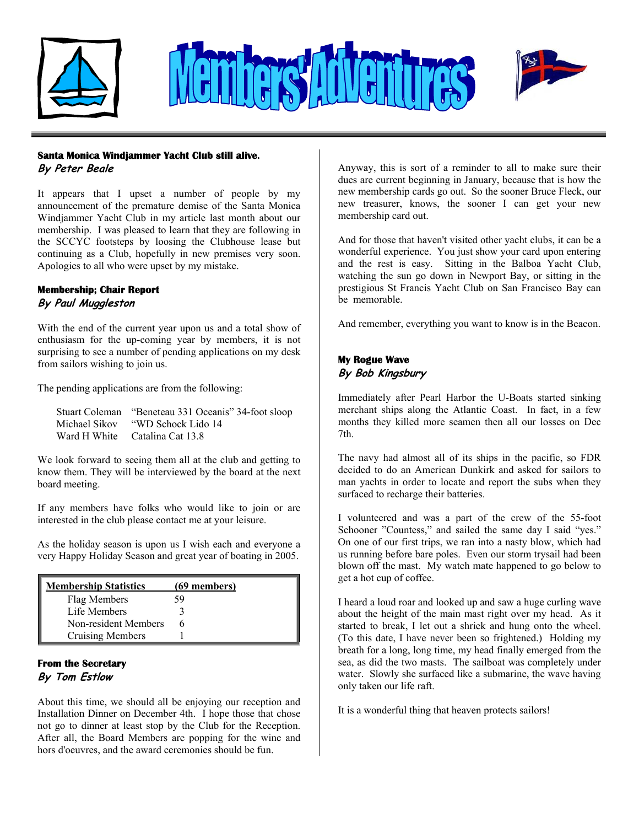





### **Santa Monica Windjammer Yacht Club still alive.**

**By Peter Beale** 

It appears that I upset a number of people by my announcement of the premature demise of the Santa Monica Windjammer Yacht Club in my article last month about our membership. I was pleased to learn that they are following in the SCCYC footsteps by loosing the Clubhouse lease but continuing as a Club, hopefully in new premises very soon. Apologies to all who were upset by my mistake.

## **Membership; Chair Report**

## **By Paul Muggleston**

With the end of the current year upon us and a total show of enthusiasm for the up-coming year by members, it is not surprising to see a number of pending applications on my desk from sailors wishing to join us.

The pending applications are from the following:

|               | Stuart Coleman "Beneteau 331 Oceanis" 34-foot sloop |
|---------------|-----------------------------------------------------|
| Michael Sikov | "WD Schock Lido 14"                                 |
|               | Ward H White Catalina Cat 13.8                      |

We look forward to seeing them all at the club and getting to know them. They will be interviewed by the board at the next board meeting.

If any members have folks who would like to join or are interested in the club please contact me at your leisure.

As the holiday season is upon us I wish each and everyone a very Happy Holiday Season and great year of boating in 2005.

| <b>Membership Statistics</b> | (69 members) |
|------------------------------|--------------|
| Flag Members                 | 59           |
| Life Members                 |              |
| Non-resident Members         |              |
| Cruising Members             |              |

## **From the Secretary By Tom Estlow**

About this time, we should all be enjoying our reception and Installation Dinner on December 4th. I hope those that chose not go to dinner at least stop by the Club for the Reception. After all, the Board Members are popping for the wine and hors d'oeuvres, and the award ceremonies should be fun.

Anyway, this is sort of a reminder to all to make sure their dues are current beginning in January, because that is how the new membership cards go out. So the sooner Bruce Fleck, our new treasurer, knows, the sooner I can get your new membership card out.

And for those that haven't visited other yacht clubs, it can be a wonderful experience. You just show your card upon entering and the rest is easy. Sitting in the Balboa Yacht Club, watching the sun go down in Newport Bay, or sitting in the prestigious St Francis Yacht Club on San Francisco Bay can be memorable.

And remember, everything you want to know is in the Beacon.

## **My Rogue Wave By Bob Kingsbury**

Immediately after Pearl Harbor the U-Boats started sinking merchant ships along the Atlantic Coast. In fact, in a few months they killed more seamen then all our losses on Dec 7th.

The navy had almost all of its ships in the pacific, so FDR decided to do an American Dunkirk and asked for sailors to man yachts in order to locate and report the subs when they surfaced to recharge their batteries.

I volunteered and was a part of the crew of the 55-foot Schooner "Countess," and sailed the same day I said "yes." On one of our first trips, we ran into a nasty blow, which had us running before bare poles. Even our storm trysail had been blown off the mast. My watch mate happened to go below to get a hot cup of coffee.

I heard a loud roar and looked up and saw a huge curling wave about the height of the main mast right over my head. As it started to break, I let out a shriek and hung onto the wheel. (To this date, I have never been so frightened.) Holding my breath for a long, long time, my head finally emerged from the sea, as did the two masts. The sailboat was completely under water. Slowly she surfaced like a submarine, the wave having only taken our life raft.

It is a wonderful thing that heaven protects sailors!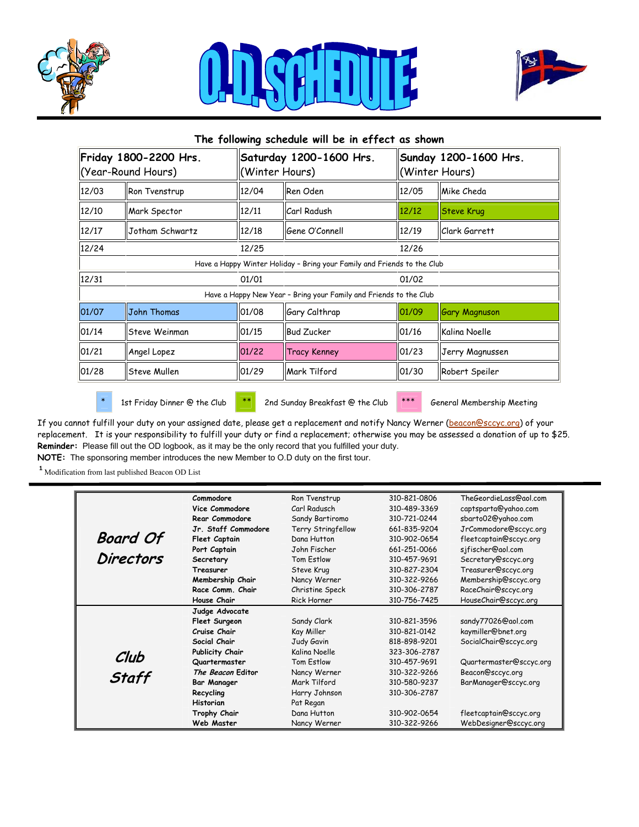





| The following schedule will be in effect as shown |                        |       |                                                                         |       |                                         |  |
|---------------------------------------------------|------------------------|-------|-------------------------------------------------------------------------|-------|-----------------------------------------|--|
| Friday 1800-2200 Hrs.<br>(Year-Round Hours)       |                        |       | Saturday 1200-1600 Hrs.<br>(Winter Hours)                               |       | Sunday 1200-1600 Hrs.<br>(Winter Hours) |  |
| 12/03                                             | Ron Tvenstrup          | 12/04 | Ren Oden                                                                | 12/05 | Mike Cheda                              |  |
| 12/10                                             | Mark Spector           | 12/11 | <b>Carl Radush</b>                                                      | 12/12 | <b>Steve Krug</b>                       |  |
| 12/17                                             | <b>Jotham Schwartz</b> | 12/18 | Gene O'Connell                                                          | 12/19 | Clark Garrett                           |  |
| 12/24                                             |                        | 12/25 |                                                                         | 12/26 |                                         |  |
|                                                   |                        |       | Have a Happy Winter Holiday - Bring your Family and Friends to the Club |       |                                         |  |
| 12/31                                             |                        | 01/01 |                                                                         |       | 01/02                                   |  |
|                                                   |                        |       | Have a Happy New Year - Bring your Family and Friends to the Club       |       |                                         |  |
| 01/07                                             | John Thomas            | 01/08 | Gary Calthrap                                                           | 01/09 | <b>Gary Magnuson</b>                    |  |
| 01/14                                             | lSteve Weinman         | 01/15 | <b>Bud Zucker</b>                                                       | 01/16 | Kalina Noelle                           |  |
| 01/21                                             | Angel Lopez            | 01/22 | <b>Tracy Kenney</b>                                                     | 01/23 | Jerry Magnussen                         |  |
| 01/28                                             | <b>Steve Mullen</b>    | 01/29 | Mark Tilford                                                            | 01/30 | Robert Speiler                          |  |
|                                                   |                        |       |                                                                         |       |                                         |  |

\* 1st Friday Dinner @ the Club \*\* 2nd Sunday Breakfast @ the Club \*\*\* General Membership Meeting

If you cannot fulfill your duty on your assigned date, please get a replacement and notify Nancy Werner [\(beacon@sccyc.org](mailto:beacon@sccyc.org)) of your replacement. It is your responsibility to fulfill your duty or find a replacement; otherwise you may be assessed a donation of up to \$25. **Reminder:** Please fill out the OD logbook, as it may be the only record that you fulfilled your duty. **NOTE:** The sponsoring member introduces the new Member to O.D duty on the first tour.

 $^{\textbf{1}}$  Modification from last published Beacon OD List

|                  | Commodore            | Ron Tvenstrup      | 310-821-0806 | TheGeordieLass@aol.com  |
|------------------|----------------------|--------------------|--------------|-------------------------|
|                  | Vice Commodore       | Carl Radusch       | 310-489-3369 |                         |
|                  |                      |                    |              | captsparta@yahoo.com    |
|                  | Rear Commodore       | Sandy Bartiromo    | 310-721-0244 | sbarto02@yahoo.com      |
|                  | Jr. Staff Commodore  | Terry Stringfellow | 661-835-9204 | JrCommodore@sccyc.org   |
| <b>Board Of</b>  | <b>Fleet Captain</b> | Dana Hutton        | 310-902-0654 | fleetcaptain@sccyc.org  |
|                  | Port Captain         | John Fischer       | 661-251-0066 | sjfischer@aol.com       |
| <b>Directors</b> | Secretary            | Tom Estlow         | 310-457-9691 | Secretary@sccyc.org     |
|                  | Treasurer            | Steve Krug         | 310-827-2304 | Treasurer@sccyc.org     |
|                  | Membership Chair     | Nancy Werner       | 310-322-9266 | Membership@sccyc.org    |
|                  | Race Comm. Chair     | Christine Speck    | 310-306-2787 | RaceChair@sccyc.org     |
|                  | House Chair          | <b>Rick Horner</b> | 310-756-7425 | HouseChair@sccyc.org    |
|                  | Judge Advocate       |                    |              |                         |
|                  | Fleet Surgeon        | Sandy Clark        | 310-821-3596 | sandy77026@aol.com      |
|                  | Cruise Chair         | Kay Miller         | 310-821-0142 | kaymiller@bnet.org      |
|                  | Social Chair         | Judy Gavin         | 818-898-9201 | SocialChair@sccyc.org   |
| Club             | Publicity Chair      | Kalina Noelle      | 323-306-2787 |                         |
|                  | Quartermaster        | Tom Estlow         | 310-457-9691 | Quartermaster@sccyc.org |
| Staff            | The Beacon Editor    | Nancy Werner       | 310-322-9266 | Beacon@sccyc.org        |
|                  | <b>Bar Manager</b>   | Mark Tilford       | 310-580-9237 | BarManager@sccyc.org    |
|                  | Recycling            | Harry Johnson      | 310-306-2787 |                         |
|                  | <b>Historian</b>     | Pat Regan          |              |                         |
|                  | Trophy Chair         | Dana Hutton        | 310-902-0654 | fleetcaptain@sccyc.org  |
|                  | Web Master           | Nancy Werner       | 310-322-9266 | WebDesigner@sccyc.org   |